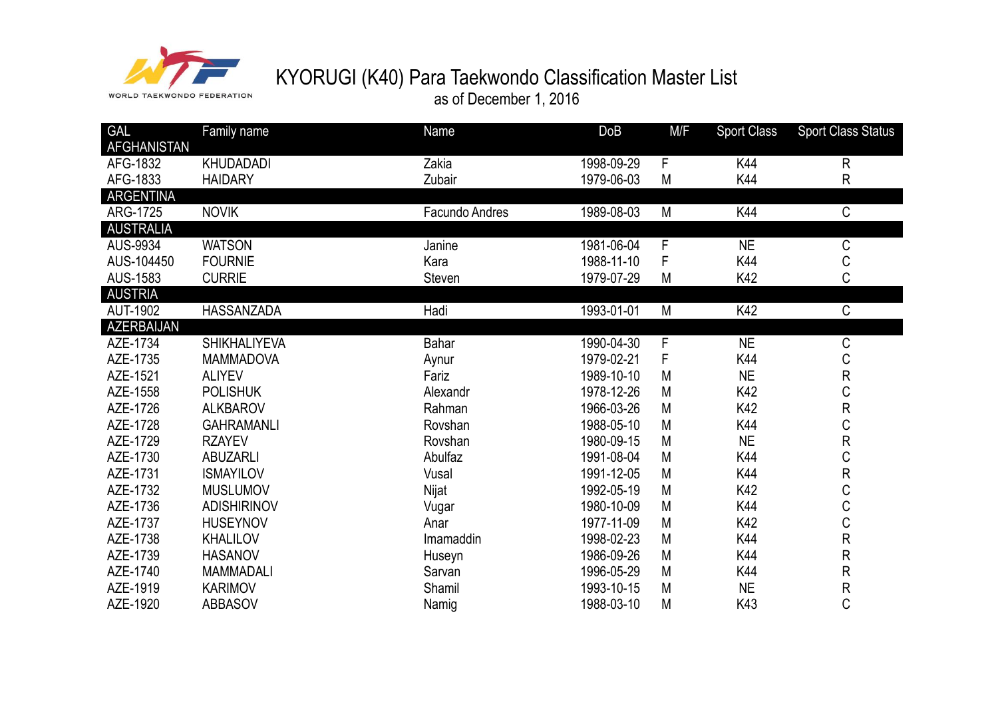

as of December 1, 2016

| <b>GAL</b>         | Family name         | <b>Name</b>    | DoB        | M/F | <b>Sport Class</b> | <b>Sport Class Status</b> |
|--------------------|---------------------|----------------|------------|-----|--------------------|---------------------------|
| <b>AFGHANISTAN</b> |                     |                |            |     |                    |                           |
| AFG-1832           | <b>KHUDADADI</b>    | Zakia          | 1998-09-29 | F   | K44                | $\mathsf{R}$              |
| AFG-1833           | <b>HAIDARY</b>      | Zubair         | 1979-06-03 | M   | K44                | R                         |
| ARGENTINA          |                     |                |            |     |                    |                           |
| ARG-1725           | <b>NOVIK</b>        | Facundo Andres | 1989-08-03 | M   | K44                | $\mathsf C$               |
| <b>AUSTRALIA</b>   |                     |                |            |     |                    |                           |
| AUS-9934           | <b>WATSON</b>       | Janine         | 1981-06-04 | F   | <b>NE</b>          | $\mathsf C$               |
| AUS-104450         | <b>FOURNIE</b>      | Kara           | 1988-11-10 | F   | K44                | C                         |
| AUS-1583           | <b>CURRIE</b>       | Steven         | 1979-07-29 | M   | K42                | C                         |
| <b>AUSTRIA</b>     |                     |                |            |     |                    |                           |
| <b>AUT-1902</b>    | HASSANZADA          | Hadi           | 1993-01-01 | M   | K42                | C                         |
| AZERBAIJAN         |                     |                |            |     |                    |                           |
| AZE-1734           | <b>SHIKHALIYEVA</b> | <b>Bahar</b>   | 1990-04-30 | F   | <b>NE</b>          | С                         |
| AZE-1735           | <b>MAMMADOVA</b>    | Aynur          | 1979-02-21 | F   | K44                | C                         |
| AZE-1521           | <b>ALIYEV</b>       | Fariz          | 1989-10-10 | M   | <b>NE</b>          | R                         |
| AZE-1558           | <b>POLISHUK</b>     | Alexandr       | 1978-12-26 | M   | K42                | C                         |
| AZE-1726           | <b>ALKBAROV</b>     | Rahman         | 1966-03-26 | M   | K42                | R                         |
| AZE-1728           | <b>GAHRAMANLI</b>   | Rovshan        | 1988-05-10 | M   | K44                | C                         |
| AZE-1729           | <b>RZAYEV</b>       | Rovshan        | 1980-09-15 | M   | <b>NE</b>          | R                         |
| AZE-1730           | <b>ABUZARLI</b>     | Abulfaz        | 1991-08-04 | M   | K44                | C                         |
| AZE-1731           | <b>ISMAYILOV</b>    | Vusal          | 1991-12-05 | M   | K44                | R                         |
| AZE-1732           | <b>MUSLUMOV</b>     | Nijat          | 1992-05-19 | M   | K42                | C                         |
| AZE-1736           | <b>ADISHIRINOV</b>  | Vugar          | 1980-10-09 | M   | K44                | $\mathsf C$               |
| AZE-1737           | <b>HUSEYNOV</b>     | Anar           | 1977-11-09 | M   | K42                | $\mathsf C$               |
| AZE-1738           | <b>KHALILOV</b>     | Imamaddin      | 1998-02-23 | M   | K44                | R                         |
| AZE-1739           | <b>HASANOV</b>      | Huseyn         | 1986-09-26 | M   | K44                | R                         |
| AZE-1740           | <b>MAMMADALI</b>    | Sarvan         | 1996-05-29 | M   | K44                | R                         |
| AZE-1919           | <b>KARIMOV</b>      | Shamil         | 1993-10-15 | M   | <b>NE</b>          | R                         |
| AZE-1920           | <b>ABBASOV</b>      | Namig          | 1988-03-10 | M   | K43                | C                         |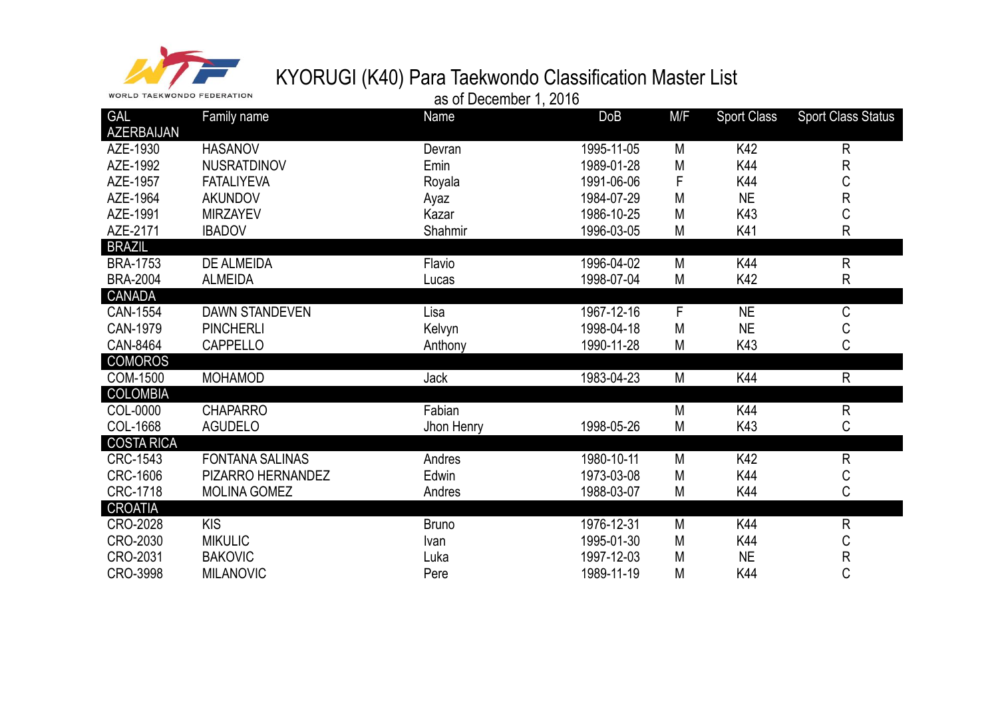

| <b>GAL</b>        | Family name            | Name         | DoB        | M/F       | <b>Sport Class</b> | <b>Sport Class Status</b> |
|-------------------|------------------------|--------------|------------|-----------|--------------------|---------------------------|
| <b>AZERBAIJAN</b> |                        |              |            |           |                    |                           |
| AZE-1930          | <b>HASANOV</b>         | Devran       | 1995-11-05 | M         | K42                | R                         |
| AZE-1992          | <b>NUSRATDINOV</b>     | Emin         | 1989-01-28 | M         | K44                | R                         |
| AZE-1957          | <b>FATALIYEVA</b>      | Royala       | 1991-06-06 | F         | K44                | С                         |
| AZE-1964          | <b>AKUNDOV</b>         | Ayaz         | 1984-07-29 | M         | <b>NE</b>          | $\mathsf R$               |
| AZE-1991          | <b>MIRZAYEV</b>        | Kazar        | 1986-10-25 | M         | K43                | С                         |
| AZE-2171          | <b>IBADOV</b>          | Shahmir      | 1996-03-05 | M         | K41                | R                         |
| <b>BRAZIL</b>     |                        |              |            |           |                    |                           |
| <b>BRA-1753</b>   | <b>DE ALMEIDA</b>      | Flavio       | 1996-04-02 | M         | K44                | R                         |
| <b>BRA-2004</b>   | <b>ALMEIDA</b>         | Lucas        | 1998-07-04 | ${\sf M}$ | K42                | R                         |
| CANADA            |                        |              |            |           |                    |                           |
| CAN-1554          | <b>DAWN STANDEVEN</b>  | Lisa         | 1967-12-16 | F         | <b>NE</b>          | $\mathsf C$               |
| CAN-1979          | <b>PINCHERLI</b>       | Kelvyn       | 1998-04-18 | M         | <b>NE</b>          | С                         |
| CAN-8464          | <b>CAPPELLO</b>        | Anthony      | 1990-11-28 | M         | K43                | C                         |
| COMOROS           |                        |              |            |           |                    |                           |
| <b>COM-1500</b>   | <b>MOHAMOD</b>         | Jack         | 1983-04-23 | M         | K44                | R                         |
| <b>COLOMBIA</b>   |                        |              |            |           |                    |                           |
| COL-0000          | <b>CHAPARRO</b>        | Fabian       |            | M         | K44                | $\mathsf R$               |
| COL-1668          | <b>AGUDELO</b>         | Jhon Henry   | 1998-05-26 | M         | K43                | C                         |
| <b>COSTA RICA</b> |                        |              |            |           |                    |                           |
| CRC-1543          | <b>FONTANA SALINAS</b> | Andres       | 1980-10-11 | M         | K42                | $\mathsf R$               |
| <b>CRC-1606</b>   | PIZARRO HERNANDEZ      | Edwin        | 1973-03-08 | M         | K44                | С                         |
| CRC-1718          | <b>MOLINA GOMEZ</b>    | Andres       | 1988-03-07 | M         | K44                | C                         |
| <b>CROATIA</b>    |                        |              |            |           |                    |                           |
| CRO-2028          | <b>KIS</b>             | <b>Bruno</b> | 1976-12-31 | M         | K44                | R                         |
| CRO-2030          | <b>MIKULIC</b>         | Ivan         | 1995-01-30 | M         | K44                | С                         |
| CRO-2031          | <b>BAKOVIC</b>         | Luka         | 1997-12-03 | M         | <b>NE</b>          | R                         |
| CRO-3998          | <b>MILANOVIC</b>       | Pere         | 1989-11-19 | М         | K44                | C                         |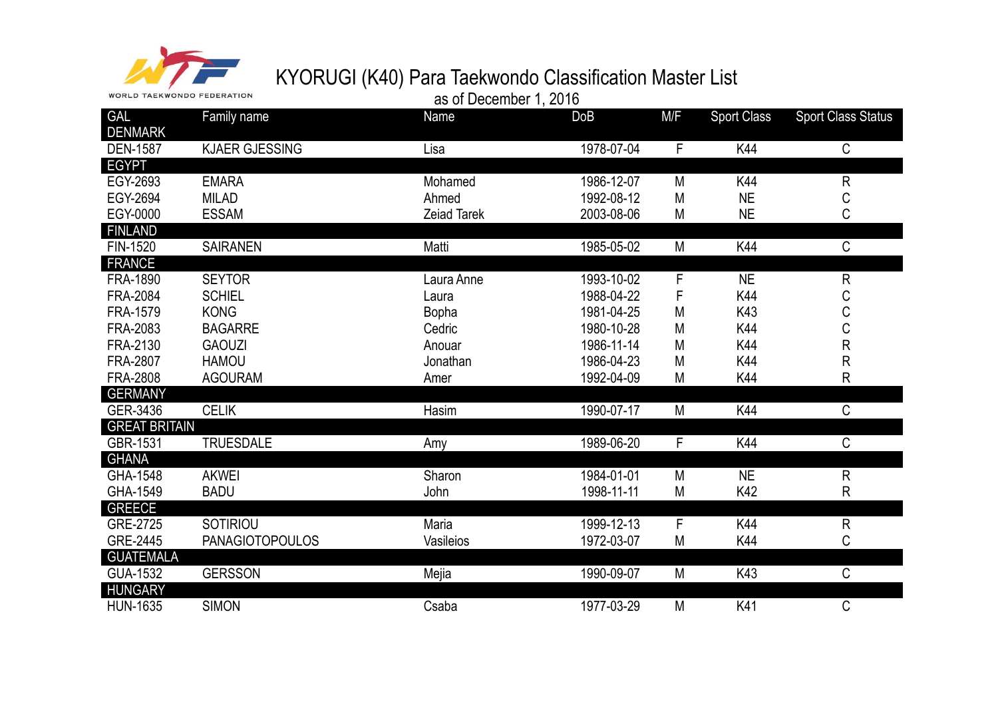

| <b>WORLD TAEKWONDO FEDERATION</b> |                                | as of December 1, 2016 |                          |        |                    |                           |
|-----------------------------------|--------------------------------|------------------------|--------------------------|--------|--------------------|---------------------------|
| <b>GAL</b><br><b>DENMARK</b>      | Family name                    | Name                   | <b>DoB</b>               | M/F    | <b>Sport Class</b> | <b>Sport Class Status</b> |
| <b>DEN-1587</b>                   | <b>KJAER GJESSING</b>          | Lisa                   | 1978-07-04               | F      | K44                | C                         |
| <b>EGYPT</b>                      |                                |                        |                          |        |                    |                           |
| EGY-2693                          | <b>EMARA</b>                   | Mohamed                | 1986-12-07               | M      | K44                | ${\sf R}$                 |
| EGY-2694                          | <b>MILAD</b>                   | Ahmed                  | 1992-08-12               | Μ      | <b>NE</b>          | С                         |
| EGY-0000                          | <b>ESSAM</b>                   | <b>Zeiad Tarek</b>     | 2003-08-06               | М      | <b>NE</b>          | C                         |
| <b>FINLAND</b>                    |                                |                        |                          |        |                    |                           |
| FIN-1520                          | <b>SAIRANEN</b>                | Matti                  | 1985-05-02               | M      | K44                | C                         |
| <b>FRANCE</b>                     |                                |                        |                          |        |                    |                           |
| FRA-1890<br>FRA-2084              | <b>SEYTOR</b><br><b>SCHIEL</b> | Laura Anne             | 1993-10-02<br>1988-04-22 | F<br>F | <b>NE</b><br>K44   | ${\sf R}$                 |
|                                   |                                | Laura                  |                          |        |                    | С                         |
| FRA-1579                          | <b>KONG</b>                    | <b>Bopha</b>           | 1981-04-25               | M      | K43                | $\mathsf C$               |
| FRA-2083                          | <b>BAGARRE</b>                 | Cedric                 | 1980-10-28               | М      | K44                | C                         |
| FRA-2130                          | <b>GAOUZI</b>                  | Anouar                 | 1986-11-14               | М      | K44                | ${\sf R}$                 |
| FRA-2807                          | <b>HAMOU</b>                   | Jonathan               | 1986-04-23               | Μ      | K44                | ${\sf R}$                 |
| <b>FRA-2808</b>                   | <b>AGOURAM</b>                 | Amer                   | 1992-04-09               | М      | K44                | R                         |
| <b>GERMANY</b><br>GER-3436        | <b>CELIK</b>                   | Hasim                  | 1990-07-17               | M      | K44                | C                         |
| <b>GREAT BRITAIN</b>              |                                |                        |                          |        |                    |                           |
| GBR-1531                          | <b>TRUESDALE</b>               | Amy                    | 1989-06-20               | F      | K44                | C                         |
| <b>GHANA</b>                      |                                |                        |                          |        |                    |                           |
| GHA-1548                          | <b>AKWEI</b>                   | Sharon                 | 1984-01-01               | M      | <b>NE</b>          | ${\sf R}$                 |
| GHA-1549                          | <b>BADU</b>                    | John                   | 1998-11-11               | M      | K42                | R                         |
| <b>GREECE</b>                     |                                |                        |                          |        |                    |                           |
| GRE-2725                          | SOTIRIOU                       | Maria                  | 1999-12-13               | F      | K44                | $\mathsf{R}$              |
| <b>GRE-2445</b>                   | <b>PANAGIOTOPOULOS</b>         | Vasileios              | 1972-03-07               | M      | K44                | C                         |
| <b>GUATEMALA</b>                  |                                |                        |                          |        |                    |                           |
| <b>GUA-1532</b>                   | <b>GERSSON</b>                 | Mejia                  | 1990-09-07               | M      | K43                | C                         |
| <b>HUNGARY</b><br><b>HUN-1635</b> | <b>SIMON</b>                   | Csaba                  | 1977-03-29               | M      | K41                | C                         |
|                                   |                                |                        |                          |        |                    |                           |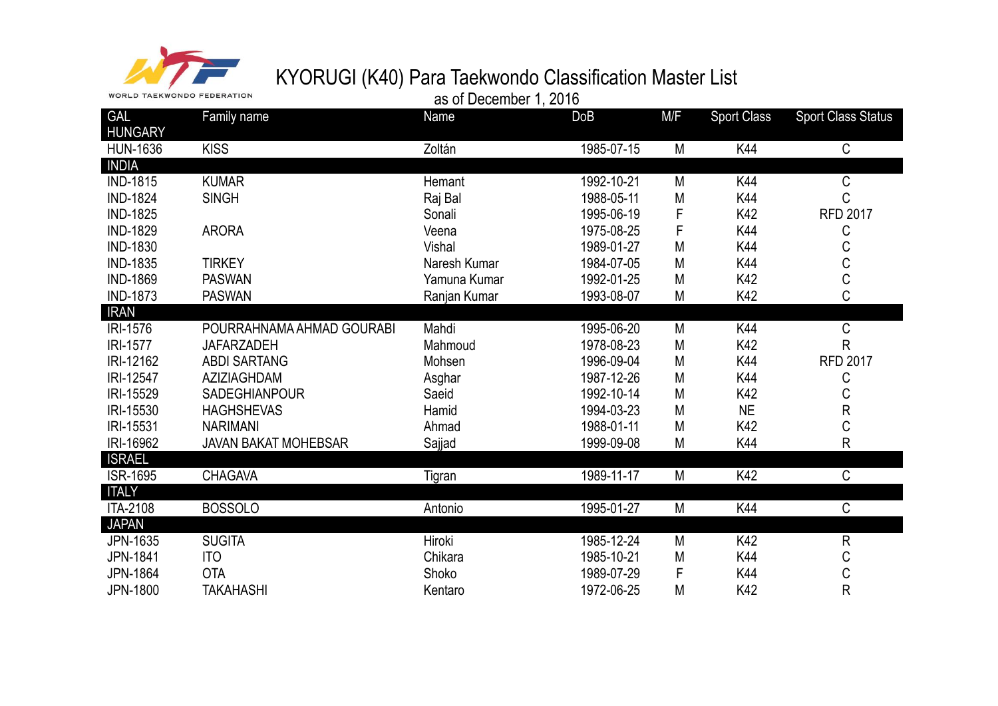

| <b>WORLD TAEKWONDO FEDERATION</b> |                             | as of December 1, 2016 |            |     |                    |                           |
|-----------------------------------|-----------------------------|------------------------|------------|-----|--------------------|---------------------------|
| <b>GAL</b><br><b>HUNGARY</b>      | Family name                 | Name                   | <b>DoB</b> | M/F | <b>Sport Class</b> | <b>Sport Class Status</b> |
| <b>HUN-1636</b>                   | <b>KISS</b>                 | Zoltán                 | 1985-07-15 | M   | K44                | C                         |
| <b>INDIA</b>                      |                             |                        |            |     |                    |                           |
| <b>IND-1815</b>                   | <b>KUMAR</b>                | Hemant                 | 1992-10-21 | M   | K44                | С                         |
| <b>IND-1824</b>                   | <b>SINGH</b>                | Raj Bal                | 1988-05-11 | M   | K44                | C                         |
| <b>IND-1825</b>                   |                             | Sonali                 | 1995-06-19 | F   | K42                | <b>RFD 2017</b>           |
| <b>IND-1829</b>                   | <b>ARORA</b>                | Veena                  | 1975-08-25 | F   | K44                | С                         |
| <b>IND-1830</b>                   |                             | Vishal                 | 1989-01-27 | M   | K44                | С                         |
| <b>IND-1835</b>                   | <b>TIRKEY</b>               | Naresh Kumar           | 1984-07-05 | M   | K44                | $\mathsf C$               |
| <b>IND-1869</b>                   | <b>PASWAN</b>               | Yamuna Kumar           | 1992-01-25 | M   | K42                | $\overline{C}$            |
| <b>IND-1873</b>                   | <b>PASWAN</b>               | Ranjan Kumar           | 1993-08-07 | M   | K42                | C                         |
| <b>IRAN</b>                       |                             |                        |            |     |                    |                           |
| <b>IRI-1576</b>                   | POURRAHNAMA AHMAD GOURABI   | Mahdi                  | 1995-06-20 | M   | K44                | C                         |
| <b>IRI-1577</b>                   | <b>JAFARZADEH</b>           | Mahmoud                | 1978-08-23 | M   | K42                | R                         |
| IRI-12162                         | <b>ABDI SARTANG</b>         | Mohsen                 | 1996-09-04 | M   | K44                | <b>RFD 2017</b>           |
| IRI-12547                         | AZIZIAGHDAM                 | Asghar                 | 1987-12-26 | M   | K44                | С                         |
| IRI-15529                         | <b>SADEGHIANPOUR</b>        | Saeid                  | 1992-10-14 | M   | K42                | С                         |
| IRI-15530                         | <b>HAGHSHEVAS</b>           | Hamid                  | 1994-03-23 | M   | <b>NE</b>          | R                         |
| IRI-15531                         | <b>NARIMANI</b>             | Ahmad                  | 1988-01-11 | M   | K42                | C                         |
| IRI-16962                         | <b>JAVAN BAKAT MOHEBSAR</b> | Sajjad                 | 1999-09-08 | M   | K44                | $\mathsf{R}$              |
| <b>ISRAEL</b>                     |                             |                        |            |     |                    |                           |
| <b>ISR-1695</b>                   | <b>CHAGAVA</b>              | Tigran                 | 1989-11-17 | M   | K42                | C                         |
| <b>ITALY</b>                      |                             |                        |            |     |                    |                           |
| <b>ITA-2108</b>                   | <b>BOSSOLO</b>              | Antonio                | 1995-01-27 | M   | K44                | C                         |
| <b>JAPAN</b>                      |                             |                        |            |     |                    |                           |
| JPN-1635                          | <b>SUGITA</b>               | Hiroki                 | 1985-12-24 | M   | K42                | $\mathsf R$               |
| JPN-1841                          | <b>ITO</b>                  | Chikara                | 1985-10-21 | M   | K44                | C                         |
| <b>JPN-1864</b>                   | <b>OTA</b>                  | Shoko                  | 1989-07-29 | F   | K44                | C                         |
| <b>JPN-1800</b>                   | <b>TAKAHASHI</b>            | Kentaro                | 1972-06-25 | M   | K42                | R                         |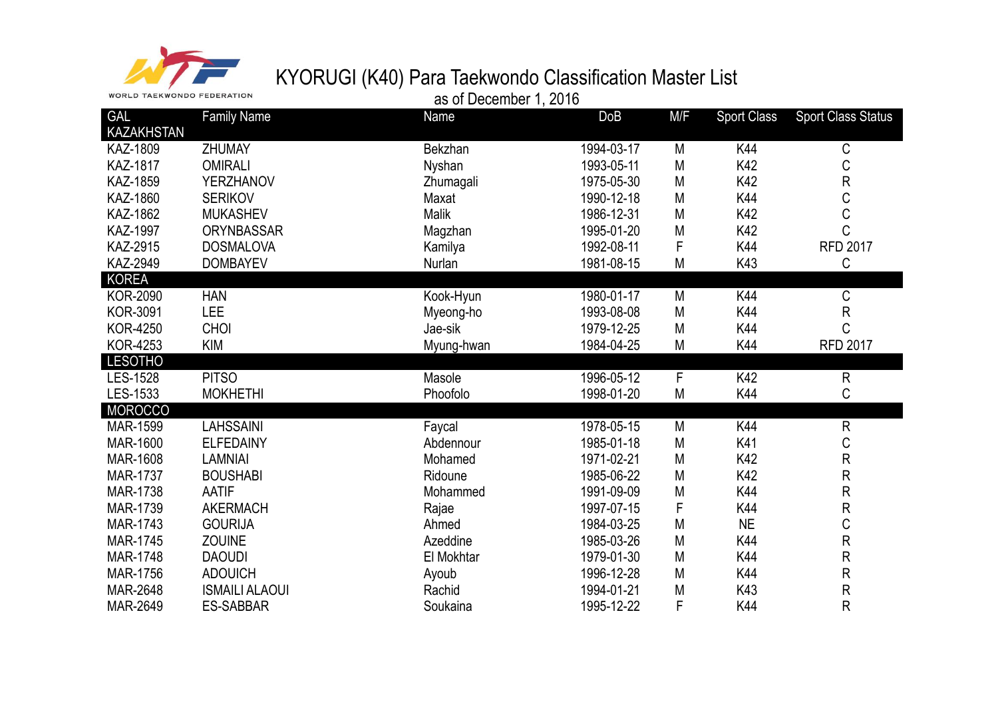

WORLD TAEKWONDO FEDERATION

#### as of December 1, 2016

| <b>GAL</b>      | <b>Family Name</b>    | Name         | DoB        | M/F | <b>Sport Class</b> | <b>Sport Class Status</b> |
|-----------------|-----------------------|--------------|------------|-----|--------------------|---------------------------|
| KAZAKHSTAN      |                       |              |            |     |                    |                           |
| KAZ-1809        | <b>ZHUMAY</b>         | Bekzhan      | 1994-03-17 | M   | K44                | С                         |
| <b>KAZ-1817</b> | <b>OMIRALI</b>        | Nyshan       | 1993-05-11 | M   | K42                | C                         |
| KAZ-1859        | <b>YERZHANOV</b>      | Zhumagali    | 1975-05-30 | M   | K42                | $\mathsf R$               |
| <b>KAZ-1860</b> | <b>SERIKOV</b>        | Maxat        | 1990-12-18 | M   | K44                | C                         |
| KAZ-1862        | <b>MUKASHEV</b>       | <b>Malik</b> | 1986-12-31 | M   | K42                | C                         |
| <b>KAZ-1997</b> | <b>ORYNBASSAR</b>     | Magzhan      | 1995-01-20 | M   | K42                | $\mathsf C$               |
| KAZ-2915        | <b>DOSMALOVA</b>      | Kamilya      | 1992-08-11 | F   | K44                | <b>RFD 2017</b>           |
| KAZ-2949        | <b>DOMBAYEV</b>       | Nurlan       | 1981-08-15 | M   | K43                | $\mathsf C$               |
| <b>KOREA</b>    |                       |              |            |     |                    |                           |
| <b>KOR-2090</b> | <b>HAN</b>            | Kook-Hyun    | 1980-01-17 | M   | K44                | С                         |
| <b>KOR-3091</b> | <b>LEE</b>            | Myeong-ho    | 1993-08-08 | M   | K44                | ${\sf R}$                 |
| <b>KOR-4250</b> | CHOI                  | Jae-sik      | 1979-12-25 | M   | K44                | $\mathsf C$               |
| <b>KOR-4253</b> | <b>KIM</b>            | Myung-hwan   | 1984-04-25 | M   | K44                | <b>RFD 2017</b>           |
| <b>LESOTHO</b>  |                       |              |            |     |                    |                           |
| LES-1528        | <b>PITSO</b>          | Masole       | 1996-05-12 | F   | K42                | $\mathsf{R}$              |
| LES-1533        | <b>MOKHETHI</b>       | Phoofolo     | 1998-01-20 | M   | K44                | C                         |
| <b>MOROCCO</b>  |                       |              |            |     |                    |                           |
| <b>MAR-1599</b> | <b>LAHSSAINI</b>      | Faycal       | 1978-05-15 | M   | K44                | $\mathsf{R}$              |
| MAR-1600        | <b>ELFEDAINY</b>      | Abdennour    | 1985-01-18 | M   | K41                | C                         |
| MAR-1608        | <b>LAMNIAI</b>        | Mohamed      | 1971-02-21 | M   | K42                | ${\sf R}$                 |
| <b>MAR-1737</b> | <b>BOUSHABI</b>       | Ridoune      | 1985-06-22 | M   | K42                | ${\sf R}$                 |
| MAR-1738        | <b>AATIF</b>          | Mohammed     | 1991-09-09 | M   | K44                | ${\sf R}$                 |
| MAR-1739        | <b>AKERMACH</b>       | Rajae        | 1997-07-15 | F   | K44                | ${\sf R}$                 |
| MAR-1743        | <b>GOURIJA</b>        | Ahmed        | 1984-03-25 | M   | <b>NE</b>          | $\mathsf C$               |
| MAR-1745        | <b>ZOUINE</b>         | Azeddine     | 1985-03-26 | M   | K44                | ${\sf R}$                 |
| <b>MAR-1748</b> | <b>DAOUDI</b>         | El Mokhtar   | 1979-01-30 | M   | K44                | ${\sf R}$                 |
| MAR-1756        | <b>ADOUICH</b>        | Ayoub        | 1996-12-28 | M   | K44                | ${\sf R}$                 |
| MAR-2648        | <b>ISMAILI ALAOUI</b> | Rachid       | 1994-01-21 | M   | K43                | ${\sf R}$                 |
| MAR-2649        | ES-SABBAR             | Soukaina     | 1995-12-22 | F   | K44                | R                         |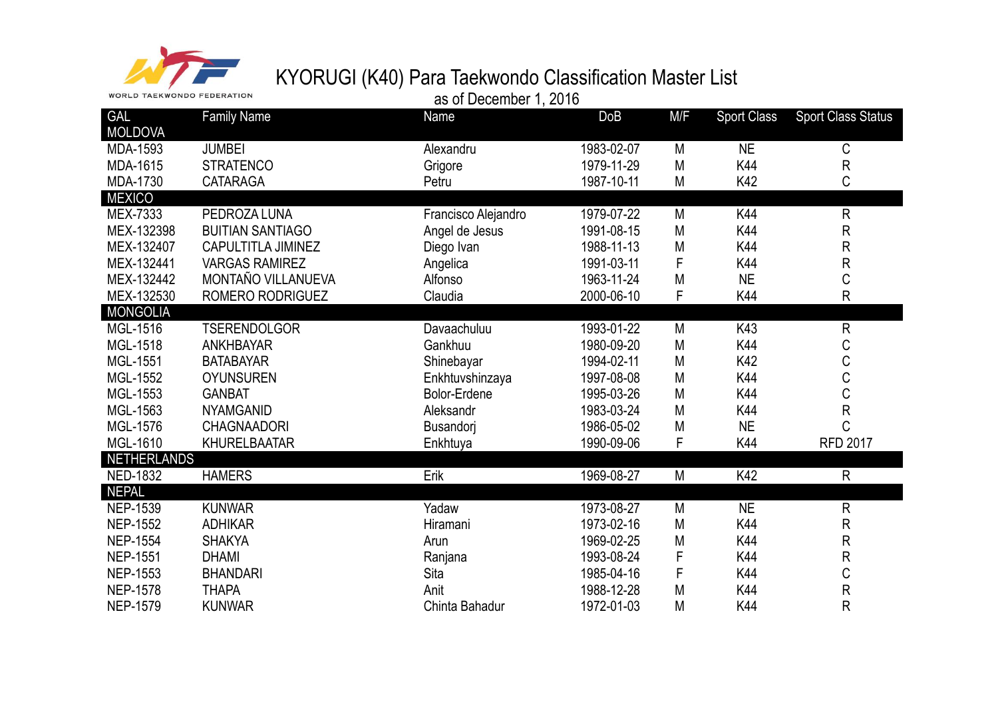

| <b>WORLD TAEKWONDO FEDERATION</b> |                           | as of December 1, 2016 |            |     |                    |                           |
|-----------------------------------|---------------------------|------------------------|------------|-----|--------------------|---------------------------|
| <b>GAL</b><br><b>MOLDOVA</b>      | <b>Family Name</b>        | Name                   | <b>DoB</b> | M/F | <b>Sport Class</b> | <b>Sport Class Status</b> |
| MDA-1593                          | <b>JUMBEI</b>             | Alexandru              | 1983-02-07 | M   | <b>NE</b>          | $\mathsf C$               |
| MDA-1615                          | <b>STRATENCO</b>          | Grigore                | 1979-11-29 | M   | K44                | ${\sf R}$                 |
| MDA-1730                          | <b>CATARAGA</b>           | Petru                  | 1987-10-11 | M   | K42                | C                         |
| <b>MEXICO</b>                     |                           |                        |            |     |                    |                           |
| MEX-7333                          | PEDROZA LUNA              | Francisco Alejandro    | 1979-07-22 | M   | K44                | ${\sf R}$                 |
| MEX-132398                        | <b>BUITIAN SANTIAGO</b>   | Angel de Jesus         | 1991-08-15 | M   | K44                | $\mathsf R$               |
| MEX-132407                        | <b>CAPULTITLA JIMINEZ</b> | Diego Ivan             | 1988-11-13 | M   | K44                | ${\sf R}$                 |
| MEX-132441                        | <b>VARGAS RAMIREZ</b>     | Angelica               | 1991-03-11 | F   | K44                | ${\sf R}$                 |
| MEX-132442                        | MONTAÑO VILLANUEVA        | Alfonso                | 1963-11-24 | M   | <b>NE</b>          | C                         |
| MEX-132530                        | ROMERO RODRIGUEZ          | Claudia                | 2000-06-10 | F   | K44                | R                         |
| <b>MONGOLIA</b>                   |                           |                        |            |     |                    |                           |
| MGL-1516                          | <b>TSERENDOLGOR</b>       | Davaachuluu            | 1993-01-22 | M   | K43                | ${\sf R}$                 |
| <b>MGL-1518</b>                   | <b>ANKHBAYAR</b>          | Gankhuu                | 1980-09-20 | M   | K44                | C                         |
| MGL-1551                          | <b>BATABAYAR</b>          | Shinebayar             | 1994-02-11 | M   | K42                | $\mathsf C$               |
| MGL-1552                          | <b>OYUNSUREN</b>          | Enkhtuvshinzaya        | 1997-08-08 | M   | K44                | C                         |
| MGL-1553                          | <b>GANBAT</b>             | <b>Bolor-Erdene</b>    | 1995-03-26 | M   | K44                | $\mathsf C$               |
| MGL-1563                          | <b>NYAMGANID</b>          | Aleksandr              | 1983-03-24 | M   | K44                | ${\sf R}$                 |
| <b>MGL-1576</b>                   | <b>CHAGNAADORI</b>        | Busandori              | 1986-05-02 | M   | <b>NE</b>          | C                         |
| MGL-1610                          | <b>KHURELBAATAR</b>       | Enkhtuya               | 1990-09-06 | F   | K44                | <b>RFD 2017</b>           |
| <b>NETHERLANDS</b>                |                           |                        |            |     |                    |                           |
| <b>NED-1832</b>                   | <b>HAMERS</b>             | Erik                   | 1969-08-27 | M   | K42                | ${\sf R}$                 |
| <b>NEPAL</b>                      |                           |                        |            |     |                    |                           |
| <b>NEP-1539</b>                   | <b>KUNWAR</b>             | Yadaw                  | 1973-08-27 | M   | <b>NE</b>          | ${\sf R}$                 |
| <b>NEP-1552</b>                   | <b>ADHIKAR</b>            | Hiramani               | 1973-02-16 | M   | K44                | ${\sf R}$                 |
| <b>NEP-1554</b>                   | <b>SHAKYA</b>             | Arun                   | 1969-02-25 | M   | K44                | R                         |
| <b>NEP-1551</b>                   | <b>DHAMI</b>              | Ranjana                | 1993-08-24 | F   | K44                | ${\sf R}$                 |
| <b>NEP-1553</b>                   | <b>BHANDARI</b>           | Sita                   | 1985-04-16 | F   | K44                | C                         |
| <b>NEP-1578</b>                   | <b>THAPA</b>              | Anit                   | 1988-12-28 | M   | K44                | ${\sf R}$                 |
| <b>NEP-1579</b>                   | <b>KUNWAR</b>             | Chinta Bahadur         | 1972-01-03 | M   | K44                | R                         |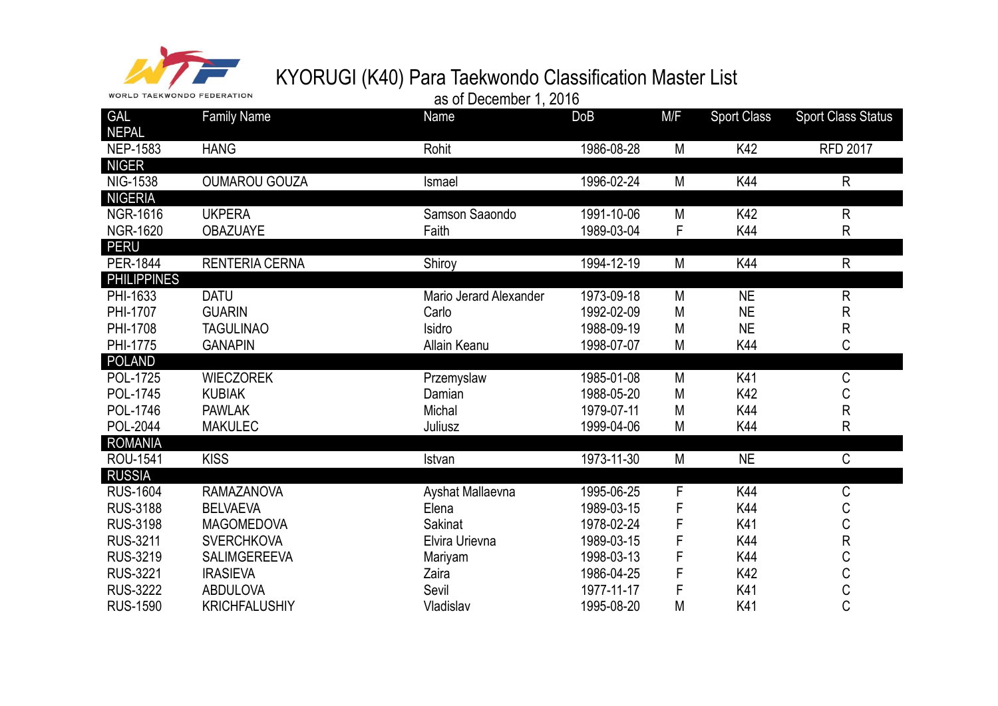

| <b>WORLD TAEKWONDO FEDERATION</b> |                       | as of December 1, 2016 |            |     |                    |                           |
|-----------------------------------|-----------------------|------------------------|------------|-----|--------------------|---------------------------|
| <b>GAL</b><br><b>NEPAL</b>        | <b>Family Name</b>    | Name                   | <b>DoB</b> | M/F | <b>Sport Class</b> | <b>Sport Class Status</b> |
| <b>NEP-1583</b>                   | <b>HANG</b>           | Rohit                  | 1986-08-28 | M   | K42                | <b>RFD 2017</b>           |
| <b>NIGER</b><br><b>NIG-1538</b>   | <b>OUMAROU GOUZA</b>  | Ismael                 | 1996-02-24 | M   | K44                | $\mathsf{R}$              |
| <b>NIGERIA</b>                    |                       |                        |            |     |                    |                           |
| <b>NGR-1616</b>                   | <b>UKPERA</b>         | Samson Saaondo         | 1991-10-06 | M   | K42                | $\mathsf{R}$              |
| <b>NGR-1620</b>                   | <b>OBAZUAYE</b>       | Faith                  | 1989-03-04 | F   | K44                | $\mathsf{R}$              |
| <b>PERU</b>                       |                       |                        |            |     |                    |                           |
| <b>PER-1844</b>                   | <b>RENTERIA CERNA</b> | Shiroy                 | 1994-12-19 | M   | K44                | R                         |
| <b>PHILIPPINES</b>                |                       |                        |            |     |                    |                           |
| PHI-1633                          | <b>DATU</b>           | Mario Jerard Alexander | 1973-09-18 | M   | <b>NE</b>          | $\mathsf{R}$              |
| PHI-1707                          | <b>GUARIN</b>         | Carlo                  | 1992-02-09 | M   | <b>NE</b>          | R                         |
| PHI-1708                          | <b>TAGULINAO</b>      | Isidro                 | 1988-09-19 | M   | <b>NE</b>          | $\mathsf R$               |
| PHI-1775                          | <b>GANAPIN</b>        | Allain Keanu           | 1998-07-07 | M   | K44                | C                         |
| <b>POLAND</b>                     |                       |                        |            |     |                    |                           |
| POL-1725                          | <b>WIECZOREK</b>      | Przemyslaw             | 1985-01-08 | M   | K41                | $\mathsf C$               |
| <b>POL-1745</b>                   | <b>KUBIAK</b>         | Damian                 | 1988-05-20 | M   | K42                | C                         |
| POL-1746                          | <b>PAWLAK</b>         | Michal                 | 1979-07-11 | M   | K44                | ${\sf R}$                 |
| POL-2044                          | <b>MAKULEC</b>        | Juliusz                | 1999-04-06 | M   | K44                | $\mathsf{R}$              |
| <b>ROMANIA</b>                    |                       |                        |            |     |                    |                           |
| ROU-1541                          | <b>KISS</b>           | Istvan                 | 1973-11-30 | M   | <b>NE</b>          | C                         |
| <b>RUSSIA</b>                     |                       |                        |            |     |                    |                           |
| <b>RUS-1604</b>                   | <b>RAMAZANOVA</b>     | Ayshat Mallaevna       | 1995-06-25 | F   | K44                | C                         |
| <b>RUS-3188</b>                   | <b>BELVAEVA</b>       | Elena                  | 1989-03-15 | F   | K44                | $\mathsf C$               |
| <b>RUS-3198</b>                   | <b>MAGOMEDOVA</b>     | <b>Sakinat</b>         | 1978-02-24 | F   | K41                | C<br>R                    |
| <b>RUS-3211</b>                   | <b>SVERCHKOVA</b>     | Elvira Urievna         | 1989-03-15 | F   | K44                |                           |
| <b>RUS-3219</b>                   | <b>SALIMGEREEVA</b>   | Mariyam                | 1998-03-13 | F   | K44                | C                         |
| <b>RUS-3221</b>                   | <b>IRASIEVA</b>       | Zaira                  | 1986-04-25 | F   | K42                | $\mathsf C$               |
| <b>RUS-3222</b>                   | <b>ABDULOVA</b>       | Sevil                  | 1977-11-17 | F   | K41                | C<br>C                    |
| <b>RUS-1590</b>                   | <b>KRICHFALUSHIY</b>  | Vladislav              | 1995-08-20 | M   | K41                |                           |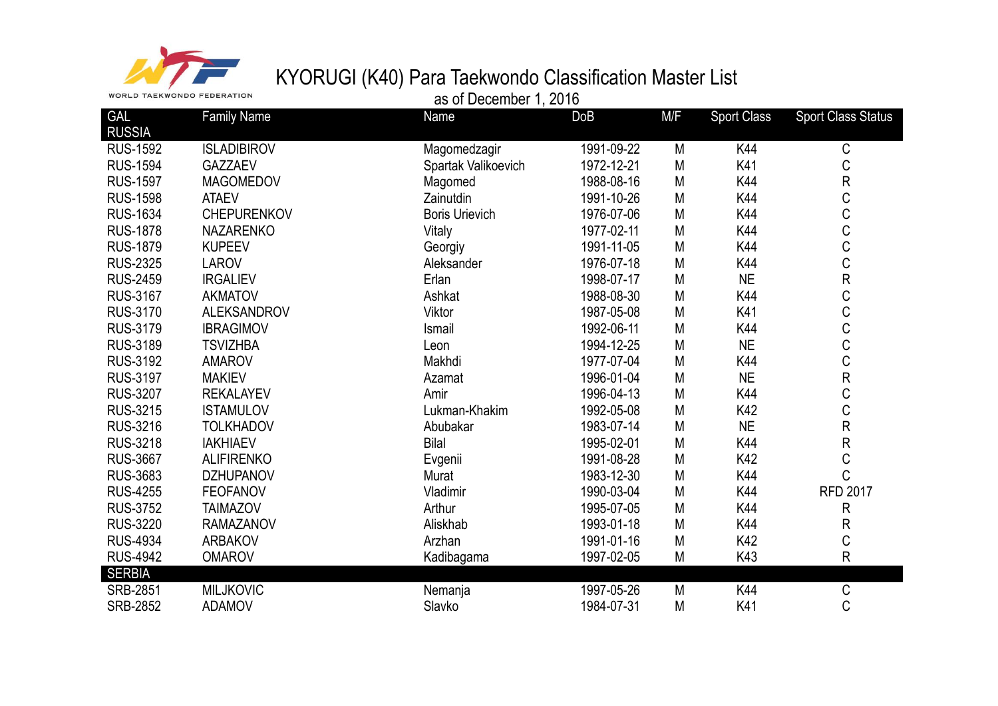

| GAL             | <b>Family Name</b> | Name                  | DoB        | M/F          | <b>Sport Class</b> | <b>Sport Class Status</b> |
|-----------------|--------------------|-----------------------|------------|--------------|--------------------|---------------------------|
| <b>RUSSIA</b>   |                    |                       |            |              |                    |                           |
| <b>RUS-1592</b> | <b>ISLADIBIROV</b> | Magomedzagir          | 1991-09-22 | M            | K44                | С                         |
| <b>RUS-1594</b> | GAZZAEV            | Spartak Valikoevich   | 1972-12-21 | M            | K41                | $\mathsf C$               |
| <b>RUS-1597</b> | <b>MAGOMEDOV</b>   | Magomed               | 1988-08-16 | M            | K44                | ${\sf R}$                 |
| <b>RUS-1598</b> | <b>ATAEV</b>       | Zainutdin             | 1991-10-26 | M            | K44                | C                         |
| <b>RUS-1634</b> | <b>CHEPURENKOV</b> | <b>Boris Urievich</b> | 1976-07-06 | ${\sf M}$    | K44                | C                         |
| <b>RUS-1878</b> | <b>NAZARENKO</b>   | Vitaly                | 1977-02-11 | $\mathsf{M}$ | K44                | C                         |
| <b>RUS-1879</b> | <b>KUPEEV</b>      | Georgiy               | 1991-11-05 | $\mathsf{M}$ | K44                | C                         |
| <b>RUS-2325</b> | <b>LAROV</b>       | Aleksander            | 1976-07-18 | M            | K44                | C                         |
| <b>RUS-2459</b> | <b>IRGALIEV</b>    | Erlan                 | 1998-07-17 | M            | <b>NE</b>          | ${\sf R}$                 |
| <b>RUS-3167</b> | <b>AKMATOV</b>     | Ashkat                | 1988-08-30 | M            | K44                | C                         |
| <b>RUS-3170</b> | <b>ALEKSANDROV</b> | Viktor                | 1987-05-08 | M            | K41                | C                         |
| <b>RUS-3179</b> | <b>IBRAGIMOV</b>   | Ismail                | 1992-06-11 | ${\sf M}$    | K44                | C                         |
| <b>RUS-3189</b> | <b>TSVIZHBA</b>    | Leon                  | 1994-12-25 | M            | <b>NE</b>          | C                         |
| <b>RUS-3192</b> | <b>AMAROV</b>      | Makhdi                | 1977-07-04 | $\mathsf{M}$ | K44                | C                         |
| <b>RUS-3197</b> | <b>MAKIEV</b>      | Azamat                | 1996-01-04 | $\mathsf{M}$ | <b>NE</b>          | ${\sf R}$                 |
| <b>RUS-3207</b> | <b>REKALAYEV</b>   | Amir                  | 1996-04-13 | M            | K44                | C                         |
| <b>RUS-3215</b> | <b>ISTAMULOV</b>   | Lukman-Khakim         | 1992-05-08 | M            | K42                | C                         |
| <b>RUS-3216</b> | <b>TOLKHADOV</b>   | Abubakar              | 1983-07-14 | $\mathsf{M}$ | <b>NE</b>          | ${\sf R}$                 |
| <b>RUS-3218</b> | <b>IAKHIAEV</b>    | <b>Bilal</b>          | 1995-02-01 | $\mathsf{M}$ | K44                | ${\sf R}$                 |
| <b>RUS-3667</b> | <b>ALIFIRENKO</b>  | Evgenii               | 1991-08-28 | $\mathsf{M}$ | K42                | C                         |
| <b>RUS-3683</b> | <b>DZHUPANOV</b>   | Murat                 | 1983-12-30 | M            | K44                | C                         |
| <b>RUS-4255</b> | <b>FEOFANOV</b>    | Vladimir              | 1990-03-04 | M            | K44                | <b>RFD 2017</b>           |
| <b>RUS-3752</b> | <b>TAIMAZOV</b>    | Arthur                | 1995-07-05 | M            | K44                | ${\sf R}$                 |
| <b>RUS-3220</b> | <b>RAMAZANOV</b>   | Aliskhab              | 1993-01-18 | M            | K44                | $\mathsf{R}$              |
| <b>RUS-4934</b> | <b>ARBAKOV</b>     | Arzhan                | 1991-01-16 | $\mathsf{M}$ | K42                | C                         |
| <b>RUS-4942</b> | <b>OMAROV</b>      | Kadibagama            | 1997-02-05 | M            | K43                | $\mathsf{R}$              |
| <b>SERBIA</b>   |                    |                       |            |              |                    |                           |
| <b>SRB-2851</b> | <b>MILJKOVIC</b>   | Nemanja               | 1997-05-26 | M            | K44                | $\mathsf C$               |
| <b>SRB-2852</b> | <b>ADAMOV</b>      | Slavko                | 1984-07-31 | M            | K41                | C                         |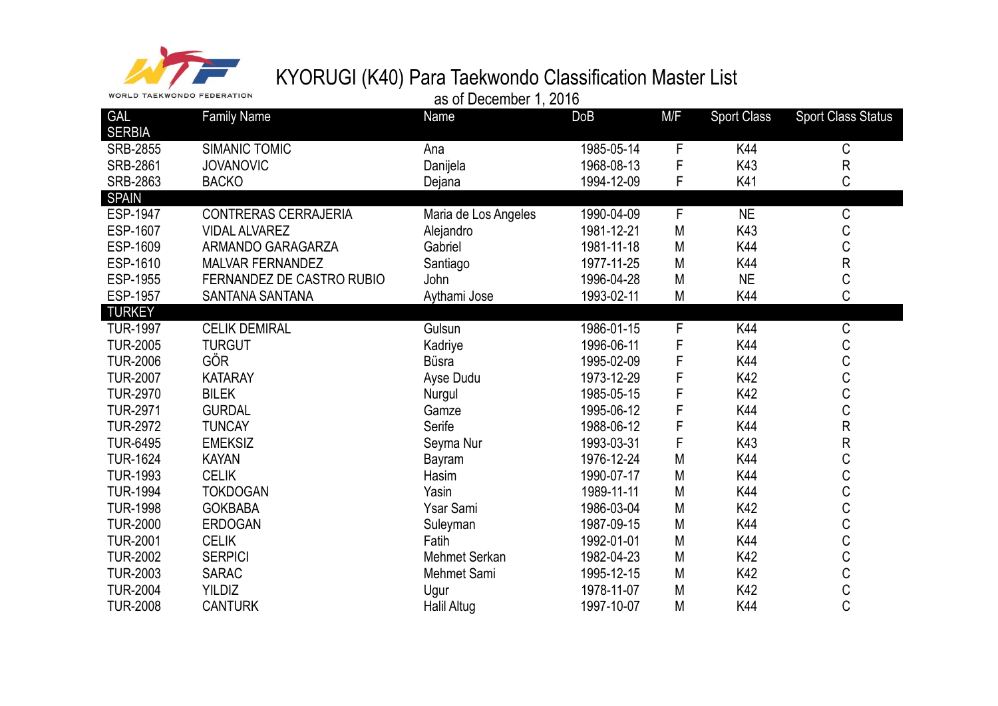

|                             | <b>WORLD TAEKWONDO FEDERATION</b> |                      | as of December 1, 2016 |             |                    |                           |
|-----------------------------|-----------------------------------|----------------------|------------------------|-------------|--------------------|---------------------------|
| <b>GAL</b><br><b>SERBIA</b> | <b>Family Name</b>                | Name                 | <b>DoB</b>             | M/F         | <b>Sport Class</b> | <b>Sport Class Status</b> |
| <b>SRB-2855</b>             | <b>SIMANIC TOMIC</b>              | Ana                  | 1985-05-14             | F           | K44                | С                         |
| <b>SRB-2861</b>             | <b>JOVANOVIC</b>                  | Danijela             | 1968-08-13             | F           | K43                | ${\sf R}$                 |
| <b>SRB-2863</b>             | <b>BACKO</b>                      | Dejana               | 1994-12-09             | F           | K41                | C                         |
| <b>SPAIN</b>                |                                   |                      |                        |             |                    |                           |
| <b>ESP-1947</b>             | <b>CONTRERAS CERRAJERIA</b>       | Maria de Los Angeles | 1990-04-09             | F           | <b>NE</b>          | C                         |
| ESP-1607                    | <b>VIDAL ALVAREZ</b>              | Alejandro            | 1981-12-21             | M           | K43                | С                         |
| ESP-1609                    | ARMANDO GARAGARZA                 | Gabriel              | 1981-11-18             | M           | K44                | C                         |
| ESP-1610                    | <b>MALVAR FERNANDEZ</b>           | Santiago             | 1977-11-25             | M           | K44                | R                         |
| ESP-1955                    | FERNANDEZ DE CASTRO RUBIO         | John                 | 1996-04-28             | M           | <b>NE</b>          | C                         |
| <b>ESP-1957</b>             | SANTANA SANTANA                   | Aythami Jose         | 1993-02-11             | M           | K44                | C                         |
| <b>TURKEY</b>               |                                   |                      |                        |             |                    |                           |
| <b>TUR-1997</b>             | <b>CELIK DEMIRAL</b>              | Gulsun               | 1986-01-15             | $\mathsf F$ | K44                | С                         |
| <b>TUR-2005</b>             | <b>TURGUT</b>                     | Kadriye              | 1996-06-11             | F           | K44                | С                         |
| <b>TUR-2006</b>             | <b>GÖR</b>                        | <b>Büsra</b>         | 1995-02-09             | F           | K44                | C                         |
| <b>TUR-2007</b>             | <b>KATARAY</b>                    | Ayse Dudu            | 1973-12-29             | F           | K42                | C                         |
| <b>TUR-2970</b>             | <b>BILEK</b>                      | Nurgul               | 1985-05-15             | F           | K42                | C                         |
| <b>TUR-2971</b>             | <b>GURDAL</b>                     | Gamze                | 1995-06-12             | F           | K44                | C                         |
| <b>TUR-2972</b>             | <b>TUNCAY</b>                     | Serife               | 1988-06-12             | F           | K44                | ${\sf R}$                 |
| <b>TUR-6495</b>             | <b>EMEKSIZ</b>                    | Seyma Nur            | 1993-03-31             | F           | K43                | R                         |
| <b>TUR-1624</b>             | <b>KAYAN</b>                      | Bayram               | 1976-12-24             | M           | K44                | С                         |
| <b>TUR-1993</b>             | <b>CELIK</b>                      | Hasim                | 1990-07-17             | M           | K44                | C                         |
| <b>TUR-1994</b>             | <b>TOKDOGAN</b>                   | Yasin                | 1989-11-11             | M           | K44                | C                         |
| <b>TUR-1998</b>             | <b>GOKBABA</b>                    | Ysar Sami            | 1986-03-04             | M           | K42                | C                         |
| <b>TUR-2000</b>             | <b>ERDOGAN</b>                    | Suleyman             | 1987-09-15             | M           | K44                | C                         |
| <b>TUR-2001</b>             | <b>CELIK</b>                      | Fatih                | 1992-01-01             | M           | K44                | C                         |
| <b>TUR-2002</b>             | <b>SERPICI</b>                    | Mehmet Serkan        | 1982-04-23             | M           | K42                | C                         |
| <b>TUR-2003</b>             | <b>SARAC</b>                      | Mehmet Sami          | 1995-12-15             | M           | K42                | C                         |
| <b>TUR-2004</b>             | <b>YILDIZ</b>                     | Ugur                 | 1978-11-07             | M           | K42                | Ć                         |

TUR-2008 CANTURK Halil Altug 1997-10-07 M K44 C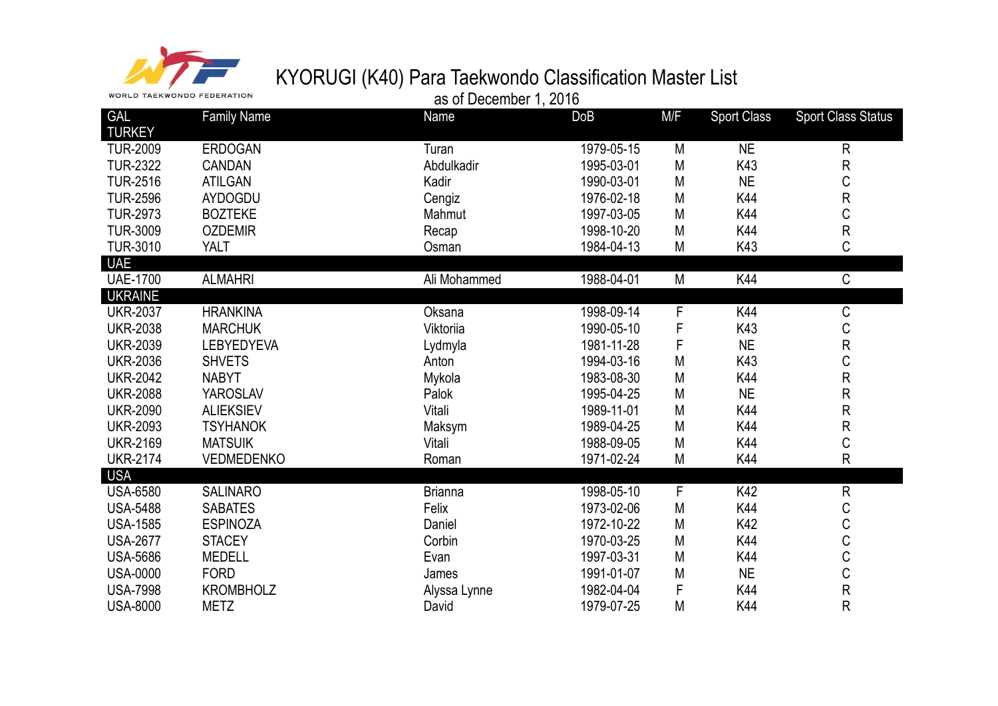

| as of December 1, 2016 |  |
|------------------------|--|
|                        |  |

| <b>GAL</b>      | <b>Family Name</b> | Name           | DoB        | M/F          | <b>Sport Class</b> | <b>Sport Class Status</b> |
|-----------------|--------------------|----------------|------------|--------------|--------------------|---------------------------|
| <b>TURKEY</b>   |                    |                |            |              |                    |                           |
| <b>TUR-2009</b> | <b>ERDOGAN</b>     | Turan          | 1979-05-15 | M            | <b>NE</b>          | $\mathsf{R}$              |
| <b>TUR-2322</b> | <b>CANDAN</b>      | Abdulkadir     | 1995-03-01 | M            | K43                | ${\sf R}$                 |
| <b>TUR-2516</b> | <b>ATILGAN</b>     | Kadir          | 1990-03-01 | M            | <b>NE</b>          | C                         |
| <b>TUR-2596</b> | <b>AYDOGDU</b>     | Cengiz         | 1976-02-18 | M            | K44                | ${\sf R}$                 |
| <b>TUR-2973</b> | <b>BOZTEKE</b>     | Mahmut         | 1997-03-05 | M            | K44                | C                         |
| <b>TUR-3009</b> | <b>OZDEMIR</b>     | Recap          | 1998-10-20 | M            | K44                | ${\sf R}$                 |
| <b>TUR-3010</b> | <b>YALT</b>        | Osman          | 1984-04-13 | M            | K43                | $\mathsf C$               |
| <b>UAE</b>      |                    |                |            |              |                    |                           |
| <b>UAE-1700</b> | <b>ALMAHRI</b>     | Ali Mohammed   | 1988-04-01 | M            | K44                | $\mathsf C$               |
| <b>UKRAINE</b>  |                    |                |            |              |                    |                           |
| <b>UKR-2037</b> | <b>HRANKINA</b>    | Oksana         | 1998-09-14 | $\mathsf{F}$ | K44                | $\mathsf C$               |
| <b>UKR-2038</b> | <b>MARCHUK</b>     | Viktoriia      | 1990-05-10 | F            | K43                | $\mathsf C$               |
| <b>UKR-2039</b> | <b>LEBYEDYEVA</b>  | Lydmyla        | 1981-11-28 | F            | <b>NE</b>          | ${\sf R}$                 |
| <b>UKR-2036</b> | <b>SHVETS</b>      | Anton          | 1994-03-16 | M            | K43                | C                         |
| <b>UKR-2042</b> | <b>NABYT</b>       | Mykola         | 1983-08-30 | M            | K44                | ${\sf R}$                 |
| <b>UKR-2088</b> | <b>YAROSLAV</b>    | Palok          | 1995-04-25 | M            | <b>NE</b>          | ${\sf R}$                 |
| <b>UKR-2090</b> | <b>ALIEKSIEV</b>   | Vitali         | 1989-11-01 | M            | K44                | ${\sf R}$                 |
| <b>UKR-2093</b> | <b>TSYHANOK</b>    | Maksym         | 1989-04-25 | M            | K44                | ${\sf R}$                 |
| <b>UKR-2169</b> | <b>MATSUIK</b>     | Vitali         | 1988-09-05 | M            | K44                | C                         |
| <b>UKR-2174</b> | <b>VEDMEDENKO</b>  | Roman          | 1971-02-24 | M            | K44                | $\mathsf{R}$              |
| <b>USA</b>      |                    |                |            |              |                    |                           |
| <b>USA-6580</b> | <b>SALINARO</b>    | <b>Brianna</b> | 1998-05-10 | F            | K42                | ${\sf R}$                 |
| <b>USA-5488</b> | <b>SABATES</b>     | Felix          | 1973-02-06 | M            | K44                | С                         |
| <b>USA-1585</b> | <b>ESPINOZA</b>    | Daniel         | 1972-10-22 | M            | K42                | C                         |
| <b>USA-2677</b> | <b>STACEY</b>      | Corbin         | 1970-03-25 | M            | K44                | C                         |
| <b>USA-5686</b> | <b>MEDELL</b>      | Evan           | 1997-03-31 | M            | K44                | C                         |
| <b>USA-0000</b> | <b>FORD</b>        | James          | 1991-01-07 | M            | <b>NE</b>          | $\mathsf C$               |
| <b>USA-7998</b> | <b>KROMBHOLZ</b>   | Alyssa Lynne   | 1982-04-04 | F            | K44                | ${\sf R}$                 |
| <b>USA-8000</b> | <b>METZ</b>        | David          | 1979-07-25 | M            | K44                | R                         |
|                 |                    |                |            |              |                    |                           |